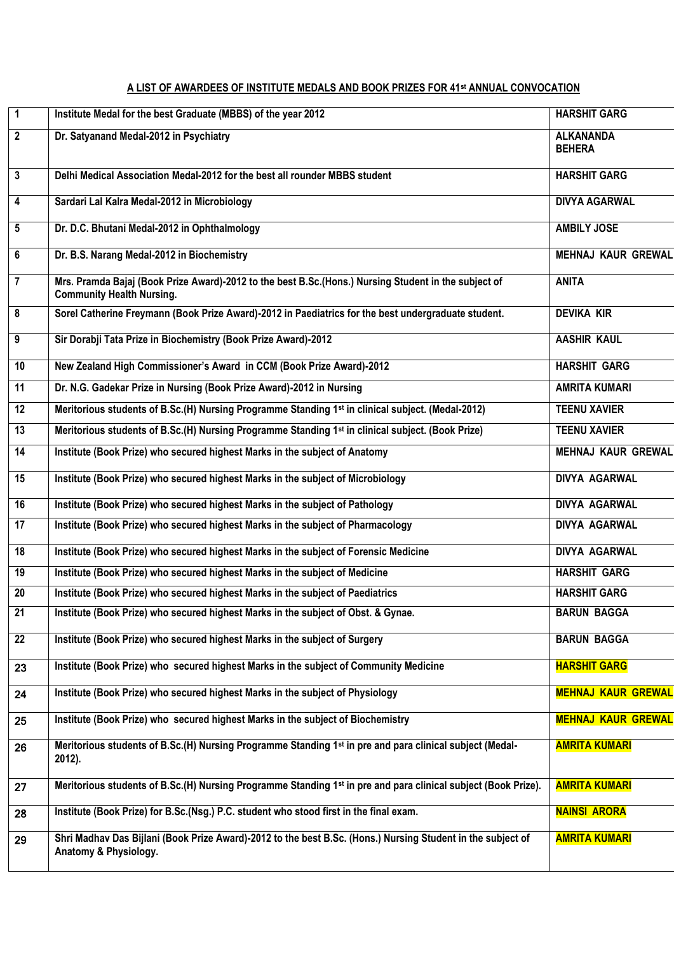## **A LIST OF AWARDEES OF INSTITUTE MEDALS AND BOOK PRIZES FOR 41st ANNUAL CONVOCATION**

| $\overline{1}$  | Institute Medal for the best Graduate (MBBS) of the year 2012                                                                            | <b>HARSHIT GARG</b>               |
|-----------------|------------------------------------------------------------------------------------------------------------------------------------------|-----------------------------------|
| $\overline{2}$  | Dr. Satyanand Medal-2012 in Psychiatry                                                                                                   | <b>ALKANANDA</b><br><b>BEHERA</b> |
| $\mathbf{3}$    | Delhi Medical Association Medal-2012 for the best all rounder MBBS student                                                               | <b>HARSHIT GARG</b>               |
| 4               | Sardari Lal Kalra Medal-2012 in Microbiology                                                                                             | <b>DIVYA AGARWAL</b>              |
| 5               | Dr. D.C. Bhutani Medal-2012 in Ophthalmology                                                                                             | <b>AMBILY JOSE</b>                |
| 6               | Dr. B.S. Narang Medal-2012 in Biochemistry                                                                                               | <b>MEHNAJ KAUR GREWAL</b>         |
| $\overline{7}$  | Mrs. Pramda Bajaj (Book Prize Award)-2012 to the best B.Sc.(Hons.) Nursing Student in the subject of<br><b>Community Health Nursing.</b> | <b>ANITA</b>                      |
| 8               | Sorel Catherine Freymann (Book Prize Award)-2012 in Paediatrics for the best undergraduate student.                                      | <b>DEVIKA KIR</b>                 |
| 9               | Sir Dorabji Tata Prize in Biochemistry (Book Prize Award)-2012                                                                           | <b>AASHIR KAUL</b>                |
| 10              | New Zealand High Commissioner's Award in CCM (Book Prize Award)-2012                                                                     | <b>HARSHIT GARG</b>               |
| $\overline{11}$ | Dr. N.G. Gadekar Prize in Nursing (Book Prize Award)-2012 in Nursing                                                                     | <b>AMRITA KUMARI</b>              |
| $\overline{12}$ | Meritorious students of B.Sc.(H) Nursing Programme Standing 1 <sup>st</sup> in clinical subject. (Medal-2012)                            | <b>TEENU XAVIER</b>               |
| 13              | Meritorious students of B.Sc.(H) Nursing Programme Standing 1 <sup>st</sup> in clinical subject. (Book Prize)                            | <b>TEENU XAVIER</b>               |
| 14              | Institute (Book Prize) who secured highest Marks in the subject of Anatomy                                                               | <b>MEHNAJ KAUR GREWAL</b>         |
| 15              | Institute (Book Prize) who secured highest Marks in the subject of Microbiology                                                          | DIVYA AGARWAL                     |
| 16              | Institute (Book Prize) who secured highest Marks in the subject of Pathology                                                             | DIVYA AGARWAL                     |
| $\overline{17}$ | Institute (Book Prize) who secured highest Marks in the subject of Pharmacology                                                          | DIVYA AGARWAL                     |
| 18              | Institute (Book Prize) who secured highest Marks in the subject of Forensic Medicine                                                     | <b>DIVYA AGARWAL</b>              |
| 19              | Institute (Book Prize) who secured highest Marks in the subject of Medicine                                                              | <b>HARSHIT GARG</b>               |
| $\overline{20}$ | Institute (Book Prize) who secured highest Marks in the subject of Paediatrics                                                           | <b>HARSHIT GARG</b>               |
| 21              | Institute (Book Prize) who secured highest Marks in the subject of Obst. & Gynae.                                                        | <b>BARUN BAGGA</b>                |
| 22              | Institute (Book Prize) who secured highest Marks in the subject of Surgery                                                               | <b>BARUN BAGGA</b>                |
| 23              | Institute (Book Prize) who secured highest Marks in the subject of Community Medicine                                                    | <b>HARSHIT GARG</b>               |
| 24              | Institute (Book Prize) who secured highest Marks in the subject of Physiology                                                            | <b>MEHNAJ KAUR GREWAL</b>         |
| 25              | Institute (Book Prize) who secured highest Marks in the subject of Biochemistry                                                          | <b>MEHNAJ KAUR GREWAL</b>         |
| 26              | Meritorious students of B.Sc.(H) Nursing Programme Standing 1 <sup>st</sup> in pre and para clinical subject (Medal-<br>2012).           | <b>AMRITA KUMARI</b>              |
| 27              | Meritorious students of B.Sc.(H) Nursing Programme Standing 1 <sup>st</sup> in pre and para clinical subject (Book Prize).               | <b>AMRITA KUMARI</b>              |
| 28              | Institute (Book Prize) for B.Sc.(Nsg.) P.C. student who stood first in the final exam.                                                   | <b>NAINSI ARORA</b>               |
| 29              | Shri Madhav Das Bijlani (Book Prize Award)-2012 to the best B.Sc. (Hons.) Nursing Student in the subject of<br>Anatomy & Physiology.     | <b>AMRITA KUMARI</b>              |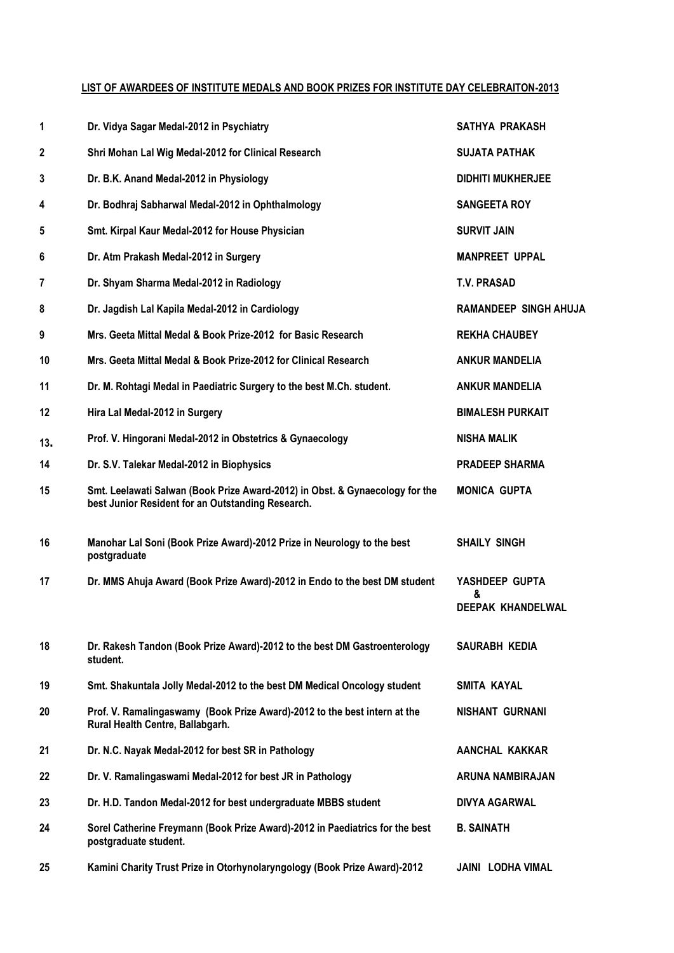## **LIST OF AWARDEES OF INSTITUTE MEDALS AND BOOK PRIZES FOR INSTITUTE DAY CELEBRAITON-2013**

| 1   | Dr. Vidya Sagar Medal-2012 in Psychiatry                                                                                          | SATHYA PRAKASH               |
|-----|-----------------------------------------------------------------------------------------------------------------------------------|------------------------------|
| 2   | Shri Mohan Lal Wig Medal-2012 for Clinical Research                                                                               | <b>SUJATA PATHAK</b>         |
| 3   | Dr. B.K. Anand Medal-2012 in Physiology                                                                                           | <b>DIDHITI MUKHERJEE</b>     |
| 4   | Dr. Bodhraj Sabharwal Medal-2012 in Ophthalmology                                                                                 | <b>SANGEETA ROY</b>          |
| 5   | Smt. Kirpal Kaur Medal-2012 for House Physician                                                                                   | <b>SURVIT JAIN</b>           |
| 6   | Dr. Atm Prakash Medal-2012 in Surgery                                                                                             | <b>MANPREET UPPAL</b>        |
| 7   | Dr. Shyam Sharma Medal-2012 in Radiology                                                                                          | <b>T.V. PRASAD</b>           |
| 8   | Dr. Jagdish Lal Kapila Medal-2012 in Cardiology                                                                                   | <b>RAMANDEEP SINGH AHUJA</b> |
| 9   | Mrs. Geeta Mittal Medal & Book Prize-2012 for Basic Research                                                                      | <b>REKHA CHAUBEY</b>         |
| 10  | Mrs. Geeta Mittal Medal & Book Prize-2012 for Clinical Research                                                                   | <b>ANKUR MANDELIA</b>        |
| 11  | Dr. M. Rohtagi Medal in Paediatric Surgery to the best M.Ch. student.                                                             | <b>ANKUR MANDELIA</b>        |
| 12  | Hira Lal Medal-2012 in Surgery                                                                                                    | <b>BIMALESH PURKAIT</b>      |
| 13. | Prof. V. Hingorani Medal-2012 in Obstetrics & Gynaecology                                                                         | <b>NISHA MALIK</b>           |
| 14  | Dr. S.V. Talekar Medal-2012 in Biophysics                                                                                         | <b>PRADEEP SHARMA</b>        |
| 15  | Smt. Leelawati Salwan (Book Prize Award-2012) in Obst. & Gynaecology for the<br>best Junior Resident for an Outstanding Research. | <b>MONICA GUPTA</b>          |
| 16  | Manohar Lal Soni (Book Prize Award)-2012 Prize in Neurology to the best<br>postgraduate                                           | <b>SHAILY SINGH</b>          |
| 17  | Dr. MMS Ahuja Award (Book Prize Award)-2012 in Endo to the best DM student                                                        | YASHDEEP GUPTA<br>&          |
|     |                                                                                                                                   | <b>DEEPAK KHANDELWAL</b>     |
| 18  | Dr. Rakesh Tandon (Book Prize Award)-2012 to the best DM Gastroenterology<br>student.                                             | SAURABH KEDIA                |
| 19  | Smt. Shakuntala Jolly Medal-2012 to the best DM Medical Oncology student                                                          | SMITA KAYAL                  |
| 20  | Prof. V. Ramalingaswamy (Book Prize Award)-2012 to the best intern at the<br>Rural Health Centre, Ballabgarh.                     | <b>NISHANT GURNANI</b>       |
| 21  | Dr. N.C. Nayak Medal-2012 for best SR in Pathology                                                                                | AANCHAL KAKKAR               |
| 22  | Dr. V. Ramalingaswami Medal-2012 for best JR in Pathology                                                                         | ARUNA NAMBIRAJAN             |
| 23  | Dr. H.D. Tandon Medal-2012 for best undergraduate MBBS student                                                                    | <b>DIVYA AGARWAL</b>         |
| 24  | Sorel Catherine Freymann (Book Prize Award)-2012 in Paediatrics for the best<br>postgraduate student.                             | <b>B. SAINATH</b>            |
| 25  | Kamini Charity Trust Prize in Otorhynolaryngology (Book Prize Award)-2012                                                         | <b>JAINI LODHA VIMAL</b>     |